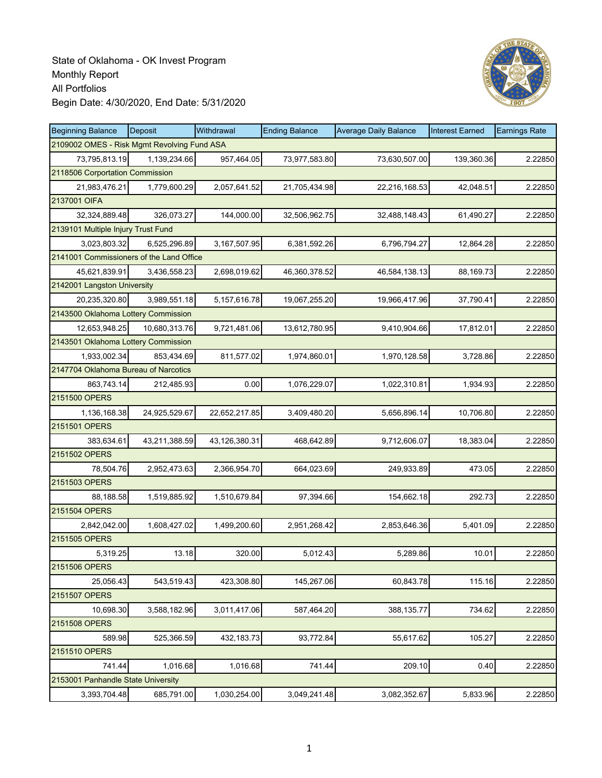

| <b>Beginning Balance</b>                    | Deposit       | Withdrawal    | <b>Ending Balance</b> | <b>Average Daily Balance</b> | <b>Interest Earned</b> | <b>Earnings Rate</b> |
|---------------------------------------------|---------------|---------------|-----------------------|------------------------------|------------------------|----------------------|
| 2109002 OMES - Risk Mgmt Revolving Fund ASA |               |               |                       |                              |                        |                      |
| 73,795,813.19                               | 1,139,234.66  | 957,464.05    | 73,977,583.80         | 73,630,507.00                | 139,360.36             | 2.22850              |
| 2118506 Corportation Commission             |               |               |                       |                              |                        |                      |
| 21,983,476.21                               | 1,779,600.29  | 2,057,641.52  | 21,705,434.98         | 22,216,168.53                | 42,048.51              | 2.22850              |
| 2137001 OIFA                                |               |               |                       |                              |                        |                      |
| 32,324,889.48                               | 326,073.27    | 144,000.00    | 32,506,962.75         | 32,488,148.43                | 61,490.27              | 2.22850              |
| 2139101 Multiple Injury Trust Fund          |               |               |                       |                              |                        |                      |
| 3,023,803.32                                | 6,525,296.89  | 3,167,507.95  | 6,381,592.26          | 6,796,794.27                 | 12,864.28              | 2.22850              |
| 2141001 Commissioners of the Land Office    |               |               |                       |                              |                        |                      |
| 45,621,839.91                               | 3,436,558.23  | 2,698,019.62  | 46,360,378.52         | 46,584,138.13                | 88,169.73              | 2.22850              |
| 2142001 Langston University                 |               |               |                       |                              |                        |                      |
| 20,235,320.80                               | 3,989,551.18  | 5,157,616.78  | 19,067,255.20         | 19,966,417.96                | 37,790.41              | 2.22850              |
| 2143500 Oklahoma Lottery Commission         |               |               |                       |                              |                        |                      |
| 12,653,948.25                               | 10,680,313.76 | 9,721,481.06  | 13,612,780.95         | 9,410,904.66                 | 17,812.01              | 2.22850              |
| 2143501 Oklahoma Lottery Commission         |               |               |                       |                              |                        |                      |
| 1,933,002.34                                | 853,434.69    | 811,577.02    | 1,974,860.01          | 1,970,128.58                 | 3,728.86               | 2.22850              |
| 2147704 Oklahoma Bureau of Narcotics        |               |               |                       |                              |                        |                      |
| 863,743.14                                  | 212,485.93    | 0.00          | 1,076,229.07          | 1,022,310.81                 | 1,934.93               | 2.22850              |
| 2151500 OPERS                               |               |               |                       |                              |                        |                      |
| 1,136,168.38                                | 24,925,529.67 | 22,652,217.85 | 3,409,480.20          | 5,656,896.14                 | 10,706.80              | 2.22850              |
| 2151501 OPERS                               |               |               |                       |                              |                        |                      |
| 383,634.61                                  | 43,211,388.59 | 43,126,380.31 | 468,642.89            | 9,712,606.07                 | 18,383.04              | 2.22850              |
| 2151502 OPERS                               |               |               |                       |                              |                        |                      |
| 78,504.76                                   | 2,952,473.63  | 2,366,954.70  | 664,023.69            | 249,933.89                   | 473.05                 | 2.22850              |
| 2151503 OPERS                               |               |               |                       |                              |                        |                      |
| 88,188.58                                   | 1,519,885.92  | 1,510,679.84  | 97,394.66             | 154,662.18                   | 292.73                 | 2.22850              |
| 2151504 OPERS                               |               |               |                       |                              |                        |                      |
| 2,842,042.00                                | 1,608,427.02  | 1,499,200.60  | 2,951,268.42          | 2,853,646.36                 | 5,401.09               | 2.22850              |
| 2151505 OPERS                               |               |               |                       |                              |                        |                      |
| 5,319.25                                    | 13.18         | 320.00        | 5,012.43              | 5,289.86                     | 10.01                  | 2.22850              |
| 2151506 OPERS                               |               |               |                       |                              |                        |                      |
| 25.056.43                                   | 543,519.43    | 423,308.80    | 145,267.06            | 60,843.78                    | 115.16                 | 2.22850              |
| 2151507 OPERS                               |               |               |                       |                              |                        |                      |
| 10,698.30                                   | 3,588,182.96  | 3,011,417.06  | 587,464.20            | 388, 135.77                  | 734.62                 | 2.22850              |
| 2151508 OPERS                               |               |               |                       |                              |                        |                      |
| 589.98                                      | 525,366.59    | 432,183.73    | 93,772.84             | 55,617.62                    | 105.27                 | 2.22850              |
| 2151510 OPERS                               |               |               |                       |                              |                        |                      |
| 741.44                                      | 1,016.68      | 1,016.68      | 741.44                | 209.10                       | 0.40                   | 2.22850              |
| 2153001 Panhandle State University          |               |               |                       |                              |                        |                      |
| 3,393,704.48                                | 685,791.00    | 1,030,254.00  | 3,049,241.48          | 3,082,352.67                 | 5,833.96               | 2.22850              |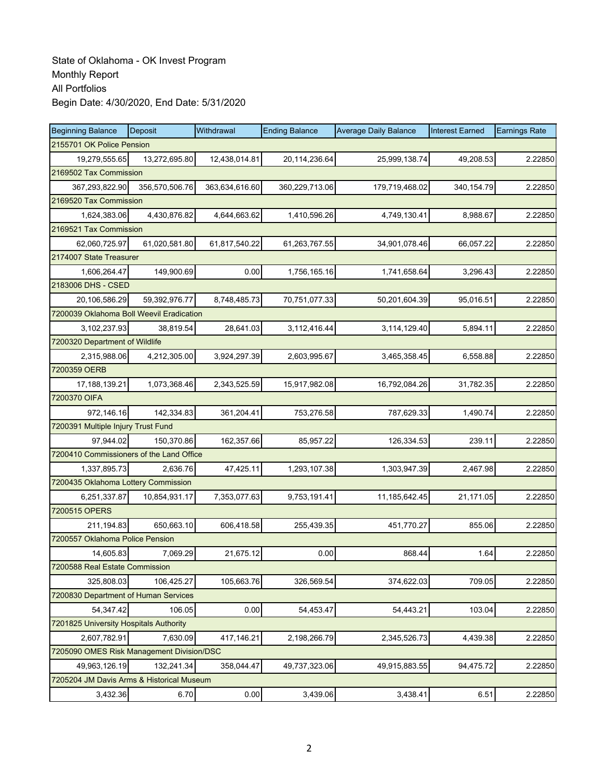| <b>Beginning Balance</b>                  | <b>Deposit</b> | Withdrawal     | <b>Ending Balance</b> | <b>Average Daily Balance</b> | <b>Interest Earned</b> | <b>Earnings Rate</b> |
|-------------------------------------------|----------------|----------------|-----------------------|------------------------------|------------------------|----------------------|
| 2155701 OK Police Pension                 |                |                |                       |                              |                        |                      |
| 19,279,555.65                             | 13,272,695.80  | 12,438,014.81  | 20,114,236.64         | 25,999,138.74                | 49,208.53              | 2.22850              |
| 2169502 Tax Commission                    |                |                |                       |                              |                        |                      |
| 367,293,822.90                            | 356,570,506.76 | 363,634,616.60 | 360,229,713.06        | 179,719,468.02               | 340, 154.79            | 2.22850              |
| 2169520 Tax Commission                    |                |                |                       |                              |                        |                      |
| 1,624,383.06                              | 4,430,876.82   | 4,644,663.62   | 1,410,596.26          | 4,749,130.41                 | 8,988.67               | 2.22850              |
| 2169521 Tax Commission                    |                |                |                       |                              |                        |                      |
| 62,060,725.97                             | 61,020,581.80  | 61,817,540.22  | 61,263,767.55         | 34,901,078.46                | 66,057.22              | 2.22850              |
| 2174007 State Treasurer                   |                |                |                       |                              |                        |                      |
| 1,606,264.47                              | 149,900.69     | 0.00           | 1,756,165.16          | 1,741,658.64                 | 3,296.43               | 2.22850              |
| 2183006 DHS - CSED                        |                |                |                       |                              |                        |                      |
| 20,106,586.29                             | 59,392,976.77  | 8,748,485.73   | 70,751,077.33         | 50,201,604.39                | 95,016.51              | 2.22850              |
| 7200039 Oklahoma Boll Weevil Eradication  |                |                |                       |                              |                        |                      |
| 3,102,237.93                              | 38,819.54      | 28,641.03      | 3,112,416.44          | 3,114,129.40                 | 5,894.11               | 2.22850              |
| 7200320 Department of Wildlife            |                |                |                       |                              |                        |                      |
| 2,315,988.06                              | 4,212,305.00   | 3,924,297.39   | 2,603,995.67          | 3,465,358.45                 | 6,558.88               | 2.22850              |
| 7200359 OERB                              |                |                |                       |                              |                        |                      |
| 17,188,139.21                             | 1,073,368.46   | 2,343,525.59   | 15,917,982.08         | 16,792,084.26                | 31,782.35              | 2.22850              |
| 7200370 OIFA                              |                |                |                       |                              |                        |                      |
| 972,146.16                                | 142,334.83     | 361,204.41     | 753,276.58            | 787,629.33                   | 1,490.74               | 2.22850              |
| 7200391 Multiple Injury Trust Fund        |                |                |                       |                              |                        |                      |
| 97,944.02                                 | 150,370.86     | 162,357.66     | 85,957.22             | 126,334.53                   | 239.11                 | 2.22850              |
| 7200410 Commissioners of the Land Office  |                |                |                       |                              |                        |                      |
| 1,337,895.73                              | 2,636.76       | 47,425.11      | 1,293,107.38          | 1,303,947.39                 | 2,467.98               | 2.22850              |
| 7200435 Oklahoma Lottery Commission       |                |                |                       |                              |                        |                      |
| 6,251,337.87                              | 10,854,931.17  | 7,353,077.63   | 9,753,191.41          | 11,185,642.45                | 21,171.05              | 2.22850              |
| 7200515 OPERS                             |                |                |                       |                              |                        |                      |
| 211,194.83                                | 650,663.10     | 606,418.58     | 255,439.35            | 451,770.27                   | 855.06                 | 2.22850              |
| 7200557 Oklahoma Police Pension           |                |                |                       |                              |                        |                      |
| 14,605.83                                 | 7,069.29       | 21,675.12      | 0.00                  | 868.44                       | 1.64                   | 2.22850              |
| 7200588 Real Estate Commission            |                |                |                       |                              |                        |                      |
| 325,808.03                                | 106,425.27     | 105,663.76     | 326,569.54            | 374,622.03                   | 709.05                 | 2.22850              |
| 7200830 Department of Human Services      |                |                |                       |                              |                        |                      |
| 54,347.42                                 | 106.05         | 0.00           | 54,453.47             | 54,443.21                    | 103.04                 | 2.22850              |
| 7201825 University Hospitals Authority    |                |                |                       |                              |                        |                      |
| 2,607,782.91                              | 7,630.09       | 417,146.21     | 2,198,266.79          | 2,345,526.73                 | 4,439.38               | 2.22850              |
| 7205090 OMES Risk Management Division/DSC |                |                |                       |                              |                        |                      |
| 49,963,126.19                             | 132,241.34     | 358,044.47     | 49,737,323.06         | 49,915,883.55                | 94,475.72              | 2.22850              |
| 7205204 JM Davis Arms & Historical Museum |                |                |                       |                              |                        |                      |
| 3,432.36                                  | 6.70           | 0.00           | 3,439.06              | 3,438.41                     | 6.51                   | 2.22850              |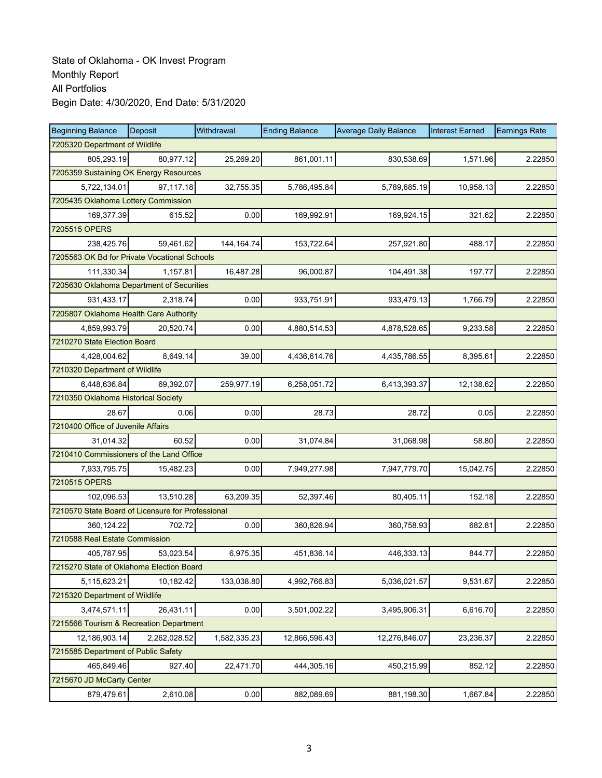| <b>Beginning Balance</b>                          | Deposit      | Withdrawal   | <b>Ending Balance</b> | <b>Average Daily Balance</b> | <b>Interest Earned</b> | <b>Earnings Rate</b> |  |  |  |
|---------------------------------------------------|--------------|--------------|-----------------------|------------------------------|------------------------|----------------------|--|--|--|
| 7205320 Department of Wildlife                    |              |              |                       |                              |                        |                      |  |  |  |
| 805,293.19                                        | 80,977.12    | 25,269.20    | 861,001.11            | 830,538.69                   | 1,571.96               | 2.22850              |  |  |  |
| 7205359 Sustaining OK Energy Resources            |              |              |                       |                              |                        |                      |  |  |  |
| 5,722,134.01                                      | 97,117.18    | 32,755.35    | 5,786,495.84          | 5,789,685.19                 | 10,958.13              | 2.22850              |  |  |  |
| 7205435 Oklahoma Lottery Commission               |              |              |                       |                              |                        |                      |  |  |  |
| 169,377.39                                        | 615.52       | 0.00         | 169,992.91            | 169,924.15                   | 321.62                 | 2.22850              |  |  |  |
| 7205515 OPERS                                     |              |              |                       |                              |                        |                      |  |  |  |
| 238,425.76                                        | 59,461.62    | 144, 164. 74 | 153,722.64            | 257,921.80                   | 488.17                 | 2.22850              |  |  |  |
| 7205563 OK Bd for Private Vocational Schools      |              |              |                       |                              |                        |                      |  |  |  |
| 111,330.34                                        | 1,157.81     | 16,487.28    | 96,000.87             | 104,491.38                   | 197.77                 | 2.22850              |  |  |  |
| 7205630 Oklahoma Department of Securities         |              |              |                       |                              |                        |                      |  |  |  |
| 931,433.17                                        | 2,318.74     | 0.00         | 933,751.91            | 933,479.13                   | 1,766.79               | 2.22850              |  |  |  |
| 7205807 Oklahoma Health Care Authority            |              |              |                       |                              |                        |                      |  |  |  |
| 4,859,993.79                                      | 20,520.74    | 0.00         | 4,880,514.53          | 4,878,528.65                 | 9,233.58               | 2.22850              |  |  |  |
| 7210270 State Election Board                      |              |              |                       |                              |                        |                      |  |  |  |
| 4,428,004.62                                      | 8,649.14     | 39.00        | 4,436,614.76          | 4,435,786.55                 | 8,395.61               | 2.22850              |  |  |  |
| 7210320 Department of Wildlife                    |              |              |                       |                              |                        |                      |  |  |  |
| 6,448,636.84                                      | 69,392.07    | 259,977.19   | 6,258,051.72          | 6,413,393.37                 | 12,138.62              | 2.22850              |  |  |  |
| 7210350 Oklahoma Historical Society               |              |              |                       |                              |                        |                      |  |  |  |
| 28.67                                             | 0.06         | 0.00         | 28.73                 | 28.72                        | 0.05                   | 2.22850              |  |  |  |
| 7210400 Office of Juvenile Affairs                |              |              |                       |                              |                        |                      |  |  |  |
| 31,014.32                                         | 60.52        | 0.00         | 31,074.84             | 31,068.98                    | 58.80                  | 2.22850              |  |  |  |
| 7210410 Commissioners of the Land Office          |              |              |                       |                              |                        |                      |  |  |  |
| 7,933,795.75                                      | 15,482.23    | 0.00         | 7,949,277.98          | 7,947,779.70                 | 15,042.75              | 2.22850              |  |  |  |
| 7210515 OPERS                                     |              |              |                       |                              |                        |                      |  |  |  |
| 102,096.53                                        | 13,510.28    | 63,209.35    | 52,397.46             | 80,405.11                    | 152.18                 | 2.22850              |  |  |  |
| 7210570 State Board of Licensure for Professional |              |              |                       |                              |                        |                      |  |  |  |
| 360,124.22                                        | 702.72       | 0.00         | 360,826.94            | 360,758.93                   | 682.81                 | 2.22850              |  |  |  |
| 7210588 Real Estate Commission                    |              |              |                       |                              |                        |                      |  |  |  |
| 405,787.95                                        | 53,023.54    | 6,975.35     | 451,836.14            | 446,333.13                   | 844.77                 | 2.22850              |  |  |  |
| 7215270 State of Oklahoma Election Board          |              |              |                       |                              |                        |                      |  |  |  |
| 5,115,623.21                                      | 10,182.42    | 133,038.80   | 4,992,766.83          | 5,036,021.57                 | 9,531.67               | 2.22850              |  |  |  |
| 7215320 Department of Wildlife                    |              |              |                       |                              |                        |                      |  |  |  |
| 3,474,571.11                                      | 26,431.11    | 0.00         | 3,501,002.22          | 3,495,906.31                 | 6,616.70               | 2.22850              |  |  |  |
| 7215566 Tourism & Recreation Department           |              |              |                       |                              |                        |                      |  |  |  |
| 12,186,903.14                                     | 2,262,028.52 | 1,582,335.23 | 12,866,596.43         | 12,276,846.07                | 23,236.37              | 2.22850              |  |  |  |
| 7215585 Department of Public Safety               |              |              |                       |                              |                        |                      |  |  |  |
| 465,849.46                                        | 927.40       | 22,471.70    | 444,305.16            | 450,215.99                   | 852.12                 | 2.22850              |  |  |  |
| 7215670 JD McCarty Center                         |              |              |                       |                              |                        |                      |  |  |  |
| 879,479.61                                        | 2,610.08     | 0.00         | 882,089.69            | 881,198.30                   | 1,667.84               | 2.22850              |  |  |  |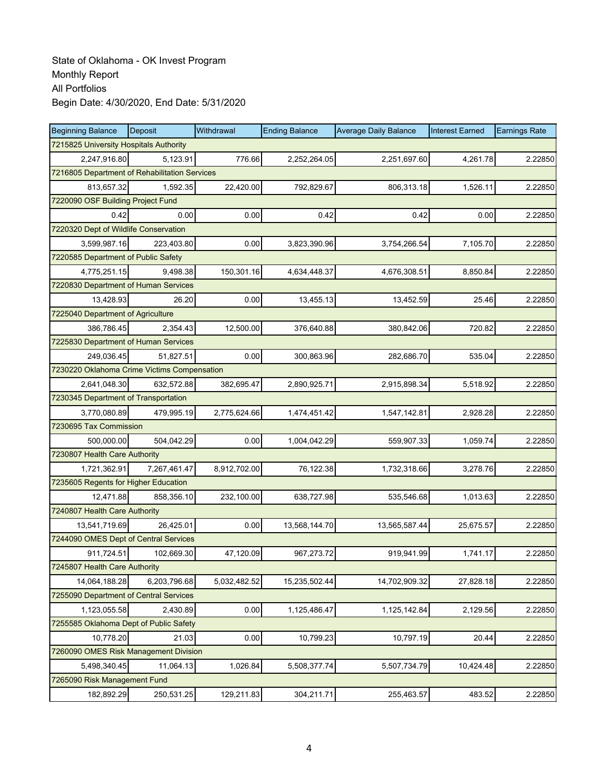| <b>Beginning Balance</b>                      | <b>Deposit</b> | Withdrawal   | <b>Ending Balance</b> | <b>Average Daily Balance</b> | <b>Interest Earned</b> | <b>Earnings Rate</b> |  |  |  |
|-----------------------------------------------|----------------|--------------|-----------------------|------------------------------|------------------------|----------------------|--|--|--|
| 7215825 University Hospitals Authority        |                |              |                       |                              |                        |                      |  |  |  |
| 2,247,916.80                                  | 5,123.91       | 776.66       | 2,252,264.05          | 2,251,697.60                 | 4,261.78               | 2.22850              |  |  |  |
| 7216805 Department of Rehabilitation Services |                |              |                       |                              |                        |                      |  |  |  |
| 813,657.32                                    | 1,592.35       | 22,420.00    | 792,829.67            | 806,313.18                   | 1,526.11               | 2.22850              |  |  |  |
| 7220090 OSF Building Project Fund             |                |              |                       |                              |                        |                      |  |  |  |
| 0.42                                          | 0.00           | 0.00         | 0.42                  | 0.42                         | 0.00                   | 2.22850              |  |  |  |
| 7220320 Dept of Wildlife Conservation         |                |              |                       |                              |                        |                      |  |  |  |
| 3,599,987.16                                  | 223,403.80     | 0.00         | 3,823,390.96          | 3,754,266.54                 | 7,105.70               | 2.22850              |  |  |  |
| 7220585 Department of Public Safety           |                |              |                       |                              |                        |                      |  |  |  |
| 4,775,251.15                                  | 9,498.38       | 150,301.16   | 4,634,448.37          | 4,676,308.51                 | 8,850.84               | 2.22850              |  |  |  |
| 7220830 Department of Human Services          |                |              |                       |                              |                        |                      |  |  |  |
| 13,428.93                                     | 26.20          | 0.00         | 13,455.13             | 13,452.59                    | 25.46                  | 2.22850              |  |  |  |
| 7225040 Department of Agriculture             |                |              |                       |                              |                        |                      |  |  |  |
| 386,786.45                                    | 2,354.43       | 12,500.00    | 376,640.88            | 380,842.06                   | 720.82                 | 2.22850              |  |  |  |
| 7225830 Department of Human Services          |                |              |                       |                              |                        |                      |  |  |  |
| 249.036.45                                    | 51,827.51      | 0.00         | 300,863.96            | 282,686.70                   | 535.04                 | 2.22850              |  |  |  |
| 7230220 Oklahoma Crime Victims Compensation   |                |              |                       |                              |                        |                      |  |  |  |
| 2,641,048.30                                  | 632,572.88     | 382,695.47   | 2,890,925.71          | 2,915,898.34                 | 5,518.92               | 2.22850              |  |  |  |
| 7230345 Department of Transportation          |                |              |                       |                              |                        |                      |  |  |  |
| 3,770,080.89                                  | 479,995.19     | 2,775,624.66 | 1,474,451.42          | 1,547,142.81                 | 2,928.28               | 2.22850              |  |  |  |
| 7230695 Tax Commission                        |                |              |                       |                              |                        |                      |  |  |  |
| 500,000.00                                    | 504,042.29     | 0.00         | 1,004,042.29          | 559,907.33                   | 1,059.74               | 2.22850              |  |  |  |
| 7230807 Health Care Authority                 |                |              |                       |                              |                        |                      |  |  |  |
| 1,721,362.91                                  | 7,267,461.47   | 8,912,702.00 | 76,122.38             | 1,732,318.66                 | 3,278.76               | 2.22850              |  |  |  |
| 7235605 Regents for Higher Education          |                |              |                       |                              |                        |                      |  |  |  |
| 12,471.88                                     | 858,356.10     | 232,100.00   | 638,727.98            | 535,546.68                   | 1,013.63               | 2.22850              |  |  |  |
| 7240807 Health Care Authority                 |                |              |                       |                              |                        |                      |  |  |  |
| 13,541,719.69                                 | 26,425.01      | 0.00         | 13,568,144.70         | 13,565,587.44                | 25,675.57              | 2.22850              |  |  |  |
| 7244090 OMES Dept of Central Services         |                |              |                       |                              |                        |                      |  |  |  |
| 911,724.51                                    | 102,669.30     | 47,120.09    | 967,273.72            | 919,941.99                   | 1,741.17               | 2.22850              |  |  |  |
| 7245807 Health Care Authority                 |                |              |                       |                              |                        |                      |  |  |  |
| 14,064,188.28                                 | 6,203,796.68   | 5,032,482.52 | 15,235,502.44         | 14,702,909.32                | 27,828.18              | 2.22850              |  |  |  |
| 7255090 Department of Central Services        |                |              |                       |                              |                        |                      |  |  |  |
| 1,123,055.58                                  | 2,430.89       | 0.00         | 1,125,486.47          | 1,125,142.84                 | 2,129.56               | 2.22850              |  |  |  |
| 7255585 Oklahoma Dept of Public Safety        |                |              |                       |                              |                        |                      |  |  |  |
| 10,778.20                                     | 21.03          | 0.00         | 10,799.23             | 10,797.19                    | 20.44                  | 2.22850              |  |  |  |
| 7260090 OMES Risk Management Division         |                |              |                       |                              |                        |                      |  |  |  |
| 5.498.340.45                                  | 11,064.13      | 1,026.84     | 5,508,377.74          | 5,507,734.79                 | 10,424.48              | 2.22850              |  |  |  |
| 7265090 Risk Management Fund                  |                |              |                       |                              |                        |                      |  |  |  |
| 182,892.29                                    | 250,531.25     | 129,211.83   | 304,211.71            | 255,463.57                   | 483.52                 | 2.22850              |  |  |  |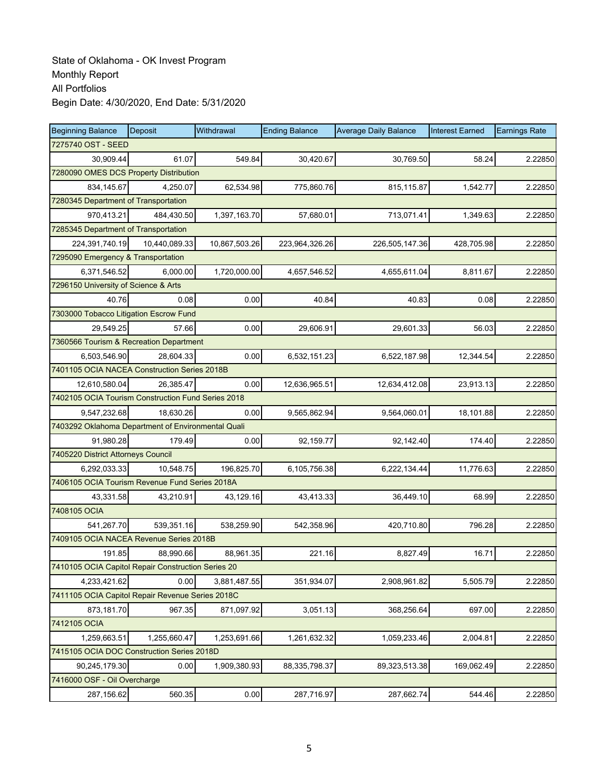| <b>Beginning Balance</b>                           | <b>Deposit</b>                       | Withdrawal    | <b>Ending Balance</b> | <b>Average Daily Balance</b> | <b>Interest Earned</b> | <b>Earnings Rate</b> |  |  |  |  |
|----------------------------------------------------|--------------------------------------|---------------|-----------------------|------------------------------|------------------------|----------------------|--|--|--|--|
| 7275740 OST - SEED                                 |                                      |               |                       |                              |                        |                      |  |  |  |  |
| 30.909.44                                          | 61.07                                | 549.84        | 30,420.67             | 30,769.50                    | 58.24                  | 2.22850              |  |  |  |  |
| 7280090 OMES DCS Property Distribution             |                                      |               |                       |                              |                        |                      |  |  |  |  |
| 834,145.67                                         | 4.250.07                             | 62,534.98     | 775,860.76            | 815,115.87                   | 1,542.77               | 2.22850              |  |  |  |  |
|                                                    | 7280345 Department of Transportation |               |                       |                              |                        |                      |  |  |  |  |
| 970,413.21                                         | 484,430.50                           | 1,397,163.70  | 57,680.01             | 713,071.41                   | 1,349.63               | 2.22850              |  |  |  |  |
| 7285345 Department of Transportation               |                                      |               |                       |                              |                        |                      |  |  |  |  |
| 224,391,740.19                                     | 10.440.089.33                        | 10,867,503.26 | 223,964,326.26        | 226,505,147.36               | 428,705.98             | 2.22850              |  |  |  |  |
| 7295090 Emergency & Transportation                 |                                      |               |                       |                              |                        |                      |  |  |  |  |
| 6,371,546.52                                       | 6,000.00                             | 1,720,000.00  | 4,657,546.52          | 4,655,611.04                 | 8,811.67               | 2.22850              |  |  |  |  |
| 7296150 University of Science & Arts               |                                      |               |                       |                              |                        |                      |  |  |  |  |
| 40.76                                              | 0.08                                 | 0.00          | 40.84                 | 40.83                        | 0.08                   | 2.22850              |  |  |  |  |
| 7303000 Tobacco Litigation Escrow Fund             |                                      |               |                       |                              |                        |                      |  |  |  |  |
| 29,549.25                                          | 57.66                                | 0.00          | 29,606.91             | 29,601.33                    | 56.03                  | 2.22850              |  |  |  |  |
| 7360566 Tourism & Recreation Department            |                                      |               |                       |                              |                        |                      |  |  |  |  |
| 6,503,546.90                                       | 28,604.33                            | 0.00          | 6,532,151.23          | 6,522,187.98                 | 12,344.54              | 2.22850              |  |  |  |  |
| 7401105 OCIA NACEA Construction Series 2018B       |                                      |               |                       |                              |                        |                      |  |  |  |  |
| 12.610.580.04                                      | 26,385.47                            | 0.00          | 12,636,965.51         | 12,634,412.08                | 23.913.13              | 2.22850              |  |  |  |  |
| 7402105 OCIA Tourism Construction Fund Series 2018 |                                      |               |                       |                              |                        |                      |  |  |  |  |
| 9,547,232.68                                       | 18,630.26                            | 0.00          | 9,565,862.94          | 9,564,060.01                 | 18,101.88              | 2.22850              |  |  |  |  |
| 7403292 Oklahoma Department of Environmental Quali |                                      |               |                       |                              |                        |                      |  |  |  |  |
| 91,980.28                                          | 179.49                               | 0.00          | 92,159.77             | 92,142.40                    | 174.40                 | 2.22850              |  |  |  |  |
| 7405220 District Attorneys Council                 |                                      |               |                       |                              |                        |                      |  |  |  |  |
| 6,292,033.33                                       | 10,548.75                            | 196,825.70    | 6,105,756.38          | 6,222,134.44                 | 11,776.63              | 2.22850              |  |  |  |  |
| 7406105 OCIA Tourism Revenue Fund Series 2018A     |                                      |               |                       |                              |                        |                      |  |  |  |  |
| 43,331.58                                          | 43,210.91                            | 43,129.16     | 43,413.33             | 36,449.10                    | 68.99                  | 2.22850              |  |  |  |  |
| 7408105 OCIA                                       |                                      |               |                       |                              |                        |                      |  |  |  |  |
| 541,267.70                                         | 539,351.16                           | 538,259.90    | 542,358.96            | 420,710.80                   | 796.28                 | 2.22850              |  |  |  |  |
| 7409105 OCIA NACEA Revenue Series 2018B            |                                      |               |                       |                              |                        |                      |  |  |  |  |
| 191.85                                             | 88,990.66                            | 88,961.35     | 221.16                | 8,827.49                     | 16.71                  | 2.22850              |  |  |  |  |
| 7410105 OCIA Capitol Repair Construction Series 20 |                                      |               |                       |                              |                        |                      |  |  |  |  |
| 4,233,421.62                                       | 0.00                                 | 3,881,487.55  | 351,934.07            | 2,908,961.82                 | 5,505.79               | 2.22850              |  |  |  |  |
| 7411105 OCIA Capitol Repair Revenue Series 2018C   |                                      |               |                       |                              |                        |                      |  |  |  |  |
| 873,181.70                                         | 967.35                               | 871,097.92    | 3,051.13              | 368,256.64                   | 697.00                 | 2.22850              |  |  |  |  |
| 7412105 OCIA                                       |                                      |               |                       |                              |                        |                      |  |  |  |  |
| 1,259,663.51                                       | 1,255,660.47                         | 1,253,691.66  | 1,261,632.32          | 1,059,233.46                 | 2,004.81               | 2.22850              |  |  |  |  |
| 7415105 OCIA DOC Construction Series 2018D         |                                      |               |                       |                              |                        |                      |  |  |  |  |
| 90,245,179.30                                      | 0.00                                 | 1,909,380.93  | 88,335,798.37         | 89,323,513.38                | 169,062.49             | 2.22850              |  |  |  |  |
| 7416000 OSF - Oil Overcharge                       |                                      |               |                       |                              |                        |                      |  |  |  |  |
| 287,156.62                                         | 560.35                               | 0.00          | 287,716.97            | 287,662.74                   | 544.46                 | 2.22850              |  |  |  |  |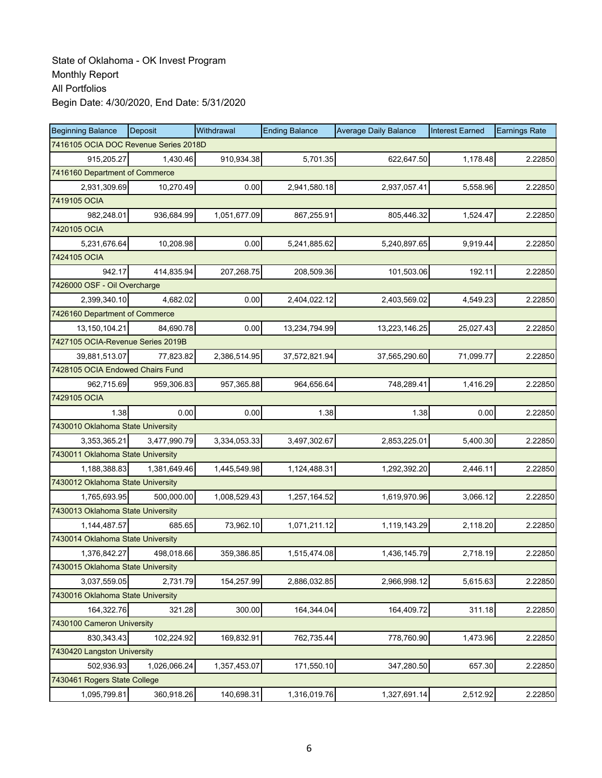| <b>Beginning Balance</b>              | Deposit      | Withdrawal   | <b>Ending Balance</b> | <b>Average Daily Balance</b> | <b>Interest Earned</b> | <b>Earnings Rate</b> |
|---------------------------------------|--------------|--------------|-----------------------|------------------------------|------------------------|----------------------|
| 7416105 OCIA DOC Revenue Series 2018D |              |              |                       |                              |                        |                      |
| 915,205.27                            | 1,430.46     | 910,934.38   | 5,701.35              | 622,647.50                   | 1,178.48               | 2.22850              |
| 7416160 Department of Commerce        |              |              |                       |                              |                        |                      |
| 2,931,309.69                          | 10,270.49    | 0.00         | 2,941,580.18          | 2,937,057.41                 | 5,558.96               | 2.22850              |
| 7419105 OCIA                          |              |              |                       |                              |                        |                      |
| 982,248.01                            | 936,684.99   | 1,051,677.09 | 867,255.91            | 805,446.32                   | 1,524.47               | 2.22850              |
| 7420105 OCIA                          |              |              |                       |                              |                        |                      |
| 5,231,676.64                          | 10,208.98    | 0.00         | 5,241,885.62          | 5,240,897.65                 | 9,919.44               | 2.22850              |
| 7424105 OCIA                          |              |              |                       |                              |                        |                      |
| 942.17                                | 414,835.94   | 207,268.75   | 208,509.36            | 101,503.06                   | 192.11                 | 2.22850              |
| 7426000 OSF - Oil Overcharge          |              |              |                       |                              |                        |                      |
| 2,399,340.10                          | 4,682.02     | 0.00         | 2,404,022.12          | 2,403,569.02                 | 4,549.23               | 2.22850              |
| 7426160 Department of Commerce        |              |              |                       |                              |                        |                      |
| 13,150,104.21                         | 84.690.78    | 0.00         | 13,234,794.99         | 13,223,146.25                | 25,027.43              | 2.22850              |
| 7427105 OCIA-Revenue Series 2019B     |              |              |                       |                              |                        |                      |
| 39,881,513.07                         | 77,823.82    | 2,386,514.95 | 37,572,821.94         | 37,565,290.60                | 71,099.77              | 2.22850              |
| 7428105 OCIA Endowed Chairs Fund      |              |              |                       |                              |                        |                      |
| 962,715.69                            | 959,306.83   | 957,365.88   | 964,656.64            | 748,289.41                   | 1,416.29               | 2.22850              |
| 7429105 OCIA                          |              |              |                       |                              |                        |                      |
| 1.38                                  | 0.00         | 0.00         | 1.38                  | 1.38                         | 0.00                   | 2.22850              |
| 7430010 Oklahoma State University     |              |              |                       |                              |                        |                      |
| 3,353,365.21                          | 3,477,990.79 | 3,334,053.33 | 3,497,302.67          | 2,853,225.01                 | 5,400.30               | 2.22850              |
| 7430011 Oklahoma State University     |              |              |                       |                              |                        |                      |
| 1,188,388.83                          | 1,381,649.46 | 1,445,549.98 | 1,124,488.31          | 1,292,392.20                 | 2,446.11               | 2.22850              |
| 7430012 Oklahoma State University     |              |              |                       |                              |                        |                      |
| 1,765,693.95                          | 500,000.00   | 1,008,529.43 | 1,257,164.52          | 1,619,970.96                 | 3,066.12               | 2.22850              |
| 7430013 Oklahoma State University     |              |              |                       |                              |                        |                      |
| 1,144,487.57                          | 685.65       | 73,962.10    | 1,071,211.12          | 1,119,143.29                 | 2,118.20               | 2.22850              |
| 7430014 Oklahoma State University     |              |              |                       |                              |                        |                      |
| 1,376,842.27                          | 498,018.66   | 359,386.85   | 1,515,474.08          | 1,436,145.79                 | 2,718.19               | 2.22850              |
| 7430015 Oklahoma State University     |              |              |                       |                              |                        |                      |
| 3,037,559.05                          | 2,731.79     | 154,257.99   | 2,886,032.85          | 2,966,998.12                 | 5,615.63               | 2.22850              |
| 7430016 Oklahoma State University     |              |              |                       |                              |                        |                      |
| 164,322.76                            | 321.28       | 300.00       | 164,344.04            | 164,409.72                   | 311.18                 | 2.22850              |
| 7430100 Cameron University            |              |              |                       |                              |                        |                      |
| 830, 343. 43                          | 102,224.92   | 169,832.91   | 762,735.44            | 778,760.90                   | 1,473.96               | 2.22850              |
| 7430420 Langston University           |              |              |                       |                              |                        |                      |
| 502,936.93                            | 1,026,066.24 | 1,357,453.07 | 171,550.10            | 347,280.50                   | 657.30                 | 2.22850              |
| 7430461 Rogers State College          |              |              |                       |                              |                        |                      |
| 1,095,799.81                          | 360,918.26   | 140,698.31   | 1,316,019.76          | 1,327,691.14                 | 2,512.92               | 2.22850              |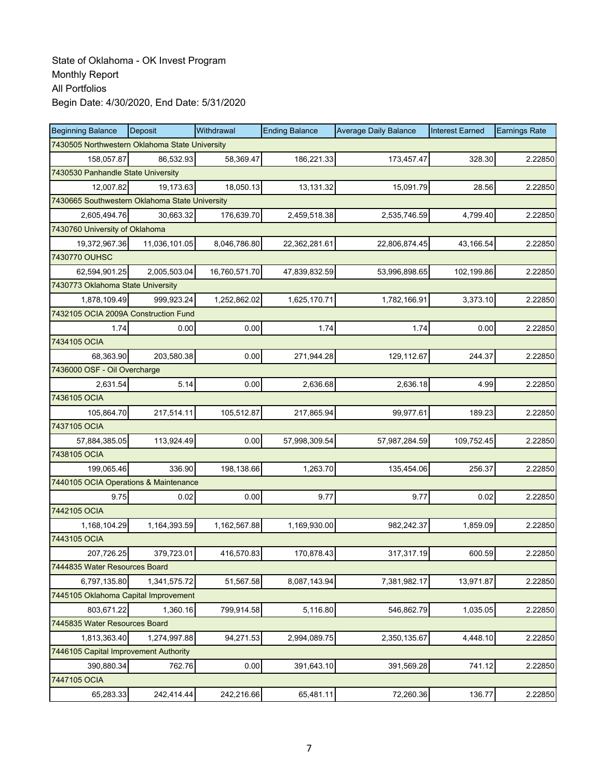| <b>Beginning Balance</b>                       | Deposit                                        | Withdrawal    | <b>Ending Balance</b> | <b>Average Daily Balance</b> | <b>Interest Earned</b> | <b>Earnings Rate</b> |  |  |  |  |
|------------------------------------------------|------------------------------------------------|---------------|-----------------------|------------------------------|------------------------|----------------------|--|--|--|--|
| 7430505 Northwestern Oklahoma State University |                                                |               |                       |                              |                        |                      |  |  |  |  |
| 158,057.87                                     | 86.532.93                                      | 58,369.47     | 186,221.33            | 173,457.47                   | 328.30                 | 2.22850              |  |  |  |  |
| 7430530 Panhandle State University             |                                                |               |                       |                              |                        |                      |  |  |  |  |
| 12,007.82                                      | 19,173.63                                      | 18,050.13     | 13,131.32             | 15,091.79                    | 28.56                  | 2.22850              |  |  |  |  |
|                                                | 7430665 Southwestern Oklahoma State University |               |                       |                              |                        |                      |  |  |  |  |
| 2,605,494.76                                   | 30,663.32                                      | 176,639.70    | 2,459,518.38          | 2,535,746.59                 | 4,799.40               | 2.22850              |  |  |  |  |
| 7430760 University of Oklahoma                 |                                                |               |                       |                              |                        |                      |  |  |  |  |
| 19,372,967.36                                  | 11,036,101.05                                  | 8,046,786.80  | 22,362,281.61         | 22,806,874.45                | 43.166.54              | 2.22850              |  |  |  |  |
| 7430770 OUHSC                                  |                                                |               |                       |                              |                        |                      |  |  |  |  |
| 62,594,901.25                                  | 2,005,503.04                                   | 16,760,571.70 | 47,839,832.59         | 53,996,898.65                | 102,199.86             | 2.22850              |  |  |  |  |
| 7430773 Oklahoma State University              |                                                |               |                       |                              |                        |                      |  |  |  |  |
| 1,878,109.49                                   | 999,923.24                                     | 1,252,862.02  | 1,625,170.71          | 1,782,166.91                 | 3,373.10               | 2.22850              |  |  |  |  |
| 7432105 OCIA 2009A Construction Fund           |                                                |               |                       |                              |                        |                      |  |  |  |  |
| 1.74                                           | 0.00                                           | 0.00          | 1.74                  | 1.74                         | 0.00                   | 2.22850              |  |  |  |  |
| 7434105 OCIA                                   |                                                |               |                       |                              |                        |                      |  |  |  |  |
| 68,363.90                                      | 203,580.38                                     | 0.00          | 271,944.28            | 129,112.67                   | 244.37                 | 2.22850              |  |  |  |  |
| 7436000 OSF - Oil Overcharge                   |                                                |               |                       |                              |                        |                      |  |  |  |  |
| 2,631.54                                       | 5.14                                           | 0.00          | 2,636.68              | 2,636.18                     | 4.99                   | 2.22850              |  |  |  |  |
| 7436105 OCIA                                   |                                                |               |                       |                              |                        |                      |  |  |  |  |
| 105,864.70                                     | 217,514.11                                     | 105,512.87    | 217,865.94            | 99,977.61                    | 189.23                 | 2.22850              |  |  |  |  |
| 7437105 OCIA                                   |                                                |               |                       |                              |                        |                      |  |  |  |  |
| 57,884,385.05                                  | 113,924.49                                     | 0.00          | 57,998,309.54         | 57,987,284.59                | 109,752.45             | 2.22850              |  |  |  |  |
| 7438105 OCIA                                   |                                                |               |                       |                              |                        |                      |  |  |  |  |
| 199,065.46                                     | 336.90                                         | 198,138.66    | 1,263.70              | 135,454.06                   | 256.37                 | 2.22850              |  |  |  |  |
| 7440105 OCIA Operations & Maintenance          |                                                |               |                       |                              |                        |                      |  |  |  |  |
| 9.75                                           | 0.02                                           | 0.00          | 9.77                  | 9.77                         | 0.02                   | 2.22850              |  |  |  |  |
| 7442105 OCIA                                   |                                                |               |                       |                              |                        |                      |  |  |  |  |
| 1,168,104.29                                   | 1,164,393.59                                   | 1,162,567.88  | 1,169,930.00          | 982,242.37                   | 1,859.09               | 2.22850              |  |  |  |  |
| 7443105 OCIA                                   |                                                |               |                       |                              |                        |                      |  |  |  |  |
| 207,726.25                                     | 379,723.01                                     | 416,570.83    | 170,878.43            | 317,317.19                   | 600.59                 | 2.22850              |  |  |  |  |
| 7444835 Water Resources Board                  |                                                |               |                       |                              |                        |                      |  |  |  |  |
| 6,797,135.80                                   | 1,341,575.72                                   | 51,567.58     | 8,087,143.94          | 7,381,982.17                 | 13,971.87              | 2.22850              |  |  |  |  |
| 7445105 Oklahoma Capital Improvement           |                                                |               |                       |                              |                        |                      |  |  |  |  |
| 803,671.22                                     | 1,360.16                                       | 799,914.58    | 5,116.80              | 546,862.79                   | 1,035.05               | 2.22850              |  |  |  |  |
| 7445835 Water Resources Board                  |                                                |               |                       |                              |                        |                      |  |  |  |  |
| 1,813,363.40                                   | 1,274,997.88                                   | 94,271.53     | 2,994,089.75          | 2,350,135.67                 | 4,448.10               | 2.22850              |  |  |  |  |
| 7446105 Capital Improvement Authority          |                                                |               |                       |                              |                        |                      |  |  |  |  |
| 390,880.34                                     | 762.76                                         | 0.00          | 391,643.10            | 391,569.28                   | 741.12                 | 2.22850              |  |  |  |  |
| 7447105 OCIA                                   |                                                |               |                       |                              |                        |                      |  |  |  |  |
| 65,283.33                                      | 242,414.44                                     | 242,216.66    | 65,481.11             | 72,260.36                    | 136.77                 | 2.22850              |  |  |  |  |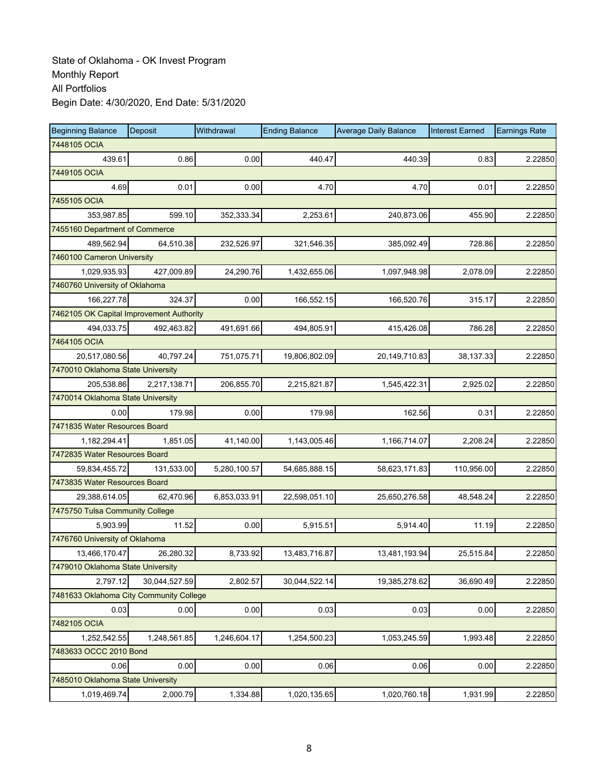| <b>Beginning Balance</b>                 | Deposit       | Withdrawal   | <b>Ending Balance</b> | <b>Average Daily Balance</b> | <b>Interest Earned</b> | <b>Earnings Rate</b> |
|------------------------------------------|---------------|--------------|-----------------------|------------------------------|------------------------|----------------------|
| 7448105 OCIA                             |               |              |                       |                              |                        |                      |
| 439.61                                   | 0.86          | 0.00         | 440.47                | 440.39                       | 0.83                   | 2.22850              |
| 7449105 OCIA                             |               |              |                       |                              |                        |                      |
| 4.69                                     | 0.01          | 0.00         | 4.70                  | 4.70                         | 0.01                   | 2.22850              |
| 7455105 OCIA                             |               |              |                       |                              |                        |                      |
| 353,987.85                               | 599.10        | 352,333.34   | 2,253.61              | 240,873.06                   | 455.90                 | 2.22850              |
| 7455160 Department of Commerce           |               |              |                       |                              |                        |                      |
| 489,562.94                               | 64,510.38     | 232,526.97   | 321,546.35            | 385,092.49                   | 728.86                 | 2.22850              |
| 7460100 Cameron University               |               |              |                       |                              |                        |                      |
| 1,029,935.93                             | 427,009.89    | 24,290.76    | 1,432,655.06          | 1,097,948.98                 | 2,078.09               | 2.22850              |
| 7460760 University of Oklahoma           |               |              |                       |                              |                        |                      |
| 166,227.78                               | 324.37        | 0.00         | 166,552.15            | 166,520.76                   | 315.17                 | 2.22850              |
| 7462105 OK Capital Improvement Authority |               |              |                       |                              |                        |                      |
| 494,033.75                               | 492,463.82    | 491,691.66   | 494,805.91            | 415,426.08                   | 786.28                 | 2.22850              |
| 7464105 OCIA                             |               |              |                       |                              |                        |                      |
| 20,517,080.56                            | 40,797.24     | 751,075.71   | 19,806,802.09         | 20,149,710.83                | 38,137.33              | 2.22850              |
| 7470010 Oklahoma State University        |               |              |                       |                              |                        |                      |
| 205,538.86                               | 2,217,138.71  | 206,855.70   | 2,215,821.87          | 1,545,422.31                 | 2,925.02               | 2.22850              |
| 7470014 Oklahoma State University        |               |              |                       |                              |                        |                      |
| 0.00                                     | 179.98        | 0.00         | 179.98                | 162.56                       | 0.31                   | 2.22850              |
| 7471835 Water Resources Board            |               |              |                       |                              |                        |                      |
| 1,182,294.41                             | 1,851.05      | 41,140.00    | 1,143,005.46          | 1,166,714.07                 | 2,208.24               | 2.22850              |
| 7472835 Water Resources Board            |               |              |                       |                              |                        |                      |
| 59,834,455.72                            | 131,533.00    | 5,280,100.57 | 54,685,888.15         | 58,623,171.83                | 110,956.00             | 2.22850              |
| 7473835 Water Resources Board            |               |              |                       |                              |                        |                      |
| 29,388,614.05                            | 62,470.96     | 6,853,033.91 | 22,598,051.10         | 25,650,276.58                | 48,548.24              | 2.22850              |
| 7475750 Tulsa Community College          |               |              |                       |                              |                        |                      |
| 5,903.99                                 | 11.52         | 0.00         | 5,915.51              | 5.914.40                     | 11.19                  | 2.22850              |
| 7476760 University of Oklahoma           |               |              |                       |                              |                        |                      |
| 13,466,170.47                            | 26,280.32     | 8,733.92     | 13,483,716.87         | 13,481,193.94                | 25,515.84              | 2.22850              |
| 7479010 Oklahoma State University        |               |              |                       |                              |                        |                      |
| 2,797.12                                 | 30,044,527.59 | 2,802.57     | 30,044,522.14         | 19,385,278.62                | 36,690.49              | 2.22850              |
| 7481633 Oklahoma City Community College  |               |              |                       |                              |                        |                      |
| 0.03                                     | 0.00          | 0.00         | 0.03                  | 0.03                         | 0.00                   | 2.22850              |
| 7482105 OCIA                             |               |              |                       |                              |                        |                      |
| 1,252,542.55                             | 1,248,561.85  | 1,246,604.17 | 1,254,500.23          | 1,053,245.59                 | 1,993.48               | 2.22850              |
| 7483633 OCCC 2010 Bond                   |               |              |                       |                              |                        |                      |
| 0.06                                     | 0.00          | 0.00         | 0.06                  | 0.06                         | 0.00                   | 2.22850              |
| 7485010 Oklahoma State University        |               |              |                       |                              |                        |                      |
| 1,019,469.74                             | 2,000.79      | 1,334.88     | 1,020,135.65          | 1,020,760.18                 | 1,931.99               | 2.22850              |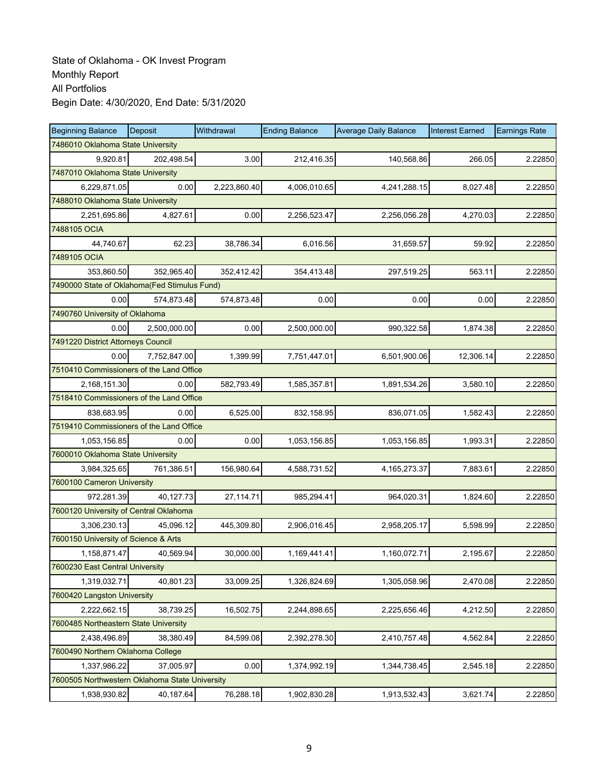| <b>Beginning Balance</b>                       | Deposit      | Withdrawal   | <b>Ending Balance</b> | <b>Average Daily Balance</b> | <b>Interest Earned</b> | <b>Earnings Rate</b> |  |  |  |
|------------------------------------------------|--------------|--------------|-----------------------|------------------------------|------------------------|----------------------|--|--|--|
| 7486010 Oklahoma State University              |              |              |                       |                              |                        |                      |  |  |  |
| 9,920.81                                       | 202,498.54   | 3.00         | 212,416.35            | 140,568.86                   | 266.05                 | 2.22850              |  |  |  |
| 7487010 Oklahoma State University              |              |              |                       |                              |                        |                      |  |  |  |
| 6,229,871.05                                   | 0.00         | 2,223,860.40 | 4,006,010.65          | 4,241,288.15                 | 8,027.48               | 2.22850              |  |  |  |
| 7488010 Oklahoma State University              |              |              |                       |                              |                        |                      |  |  |  |
| 2,251,695.86                                   | 4,827.61     | 0.00         | 2,256,523.47          | 2,256,056.28                 | 4,270.03               | 2.22850              |  |  |  |
| 7488105 OCIA                                   |              |              |                       |                              |                        |                      |  |  |  |
| 44,740.67                                      | 62.23        | 38,786.34    | 6.016.56              | 31,659.57                    | 59.92                  | 2.22850              |  |  |  |
| 7489105 OCIA                                   |              |              |                       |                              |                        |                      |  |  |  |
| 353,860.50                                     | 352,965.40   | 352,412.42   | 354,413.48            | 297,519.25                   | 563.11                 | 2.22850              |  |  |  |
| 7490000 State of Oklahoma(Fed Stimulus Fund)   |              |              |                       |                              |                        |                      |  |  |  |
| 0.00                                           | 574,873.48   | 574,873.48   | 0.00                  | 0.00                         | 0.00                   | 2.22850              |  |  |  |
| 7490760 University of Oklahoma                 |              |              |                       |                              |                        |                      |  |  |  |
| 0.00                                           | 2,500,000.00 | 0.00         | 2,500,000.00          | 990,322.58                   | 1.874.38               | 2.22850              |  |  |  |
| 7491220 District Attorneys Council             |              |              |                       |                              |                        |                      |  |  |  |
| 0.00                                           | 7,752,847.00 | 1,399.99     | 7,751,447.01          | 6,501,900.06                 | 12,306.14              | 2.22850              |  |  |  |
| 7510410 Commissioners of the Land Office       |              |              |                       |                              |                        |                      |  |  |  |
| 2,168,151.30                                   | 0.00         | 582,793.49   | 1,585,357.81          | 1,891,534.26                 | 3,580.10               | 2.22850              |  |  |  |
| 7518410 Commissioners of the Land Office       |              |              |                       |                              |                        |                      |  |  |  |
| 838,683.95                                     | 0.00         | 6,525.00     | 832,158.95            | 836,071.05                   | 1,582.43               | 2.22850              |  |  |  |
| 7519410 Commissioners of the Land Office       |              |              |                       |                              |                        |                      |  |  |  |
| 1,053,156.85                                   | 0.00         | 0.00         | 1,053,156.85          | 1,053,156.85                 | 1,993.31               | 2.22850              |  |  |  |
| 7600010 Oklahoma State University              |              |              |                       |                              |                        |                      |  |  |  |
| 3,984,325.65                                   | 761,386.51   | 156,980.64   | 4,588,731.52          | 4, 165, 273. 37              | 7,883.61               | 2.22850              |  |  |  |
| 7600100 Cameron University                     |              |              |                       |                              |                        |                      |  |  |  |
| 972,281.39                                     | 40,127.73    | 27,114.71    | 985,294.41            | 964,020.31                   | 1,824.60               | 2.22850              |  |  |  |
| 7600120 University of Central Oklahoma         |              |              |                       |                              |                        |                      |  |  |  |
| 3,306,230.13                                   | 45,096.12    | 445,309.80   | 2,906,016.45          | 2,958,205.17                 | 5,598.99               | 2.22850              |  |  |  |
| 7600150 University of Science & Arts           |              |              |                       |                              |                        |                      |  |  |  |
| 1,158,871.47                                   | 40,569.94    | 30,000.00    | 1,169,441.41          | 1,160,072.71                 | 2,195.67               | 2.22850              |  |  |  |
| 7600230 East Central University                |              |              |                       |                              |                        |                      |  |  |  |
| 1,319,032.71                                   | 40,801.23    | 33,009.25    | 1,326,824.69          | 1,305,058.96                 | 2,470.08               | 2.22850              |  |  |  |
| 7600420 Langston University                    |              |              |                       |                              |                        |                      |  |  |  |
| 2,222,662.15                                   | 38,739.25    | 16,502.75    | 2,244,898.65          | 2,225,656.46                 | 4,212.50               | 2.22850              |  |  |  |
| 7600485 Northeastern State University          |              |              |                       |                              |                        |                      |  |  |  |
| 2,438,496.89                                   | 38,380.49    | 84,599.08    | 2,392,278.30          | 2,410,757.48                 | 4,562.84               | 2.22850              |  |  |  |
| 7600490 Northern Oklahoma College              |              |              |                       |                              |                        |                      |  |  |  |
| 1,337,986.22                                   | 37,005.97    | 0.00         | 1,374,992.19          | 1,344,738.45                 | 2,545.18               | 2.22850              |  |  |  |
| 7600505 Northwestern Oklahoma State University |              |              |                       |                              |                        |                      |  |  |  |
| 1,938,930.82                                   | 40,187.64    | 76,288.18    | 1,902,830.28          | 1,913,532.43                 | 3,621.74               | 2.22850              |  |  |  |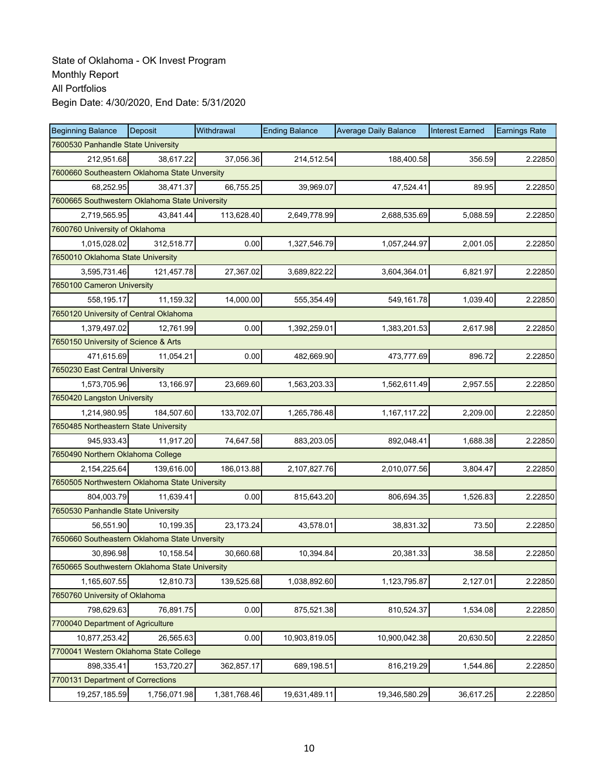| <b>Beginning Balance</b>                       | <b>Deposit</b> | Withdrawal   | <b>Ending Balance</b> | <b>Average Daily Balance</b> | <b>Interest Earned</b> | <b>Earnings Rate</b> |  |  |  |
|------------------------------------------------|----------------|--------------|-----------------------|------------------------------|------------------------|----------------------|--|--|--|
| 7600530 Panhandle State University             |                |              |                       |                              |                        |                      |  |  |  |
| 212,951.68                                     | 38,617.22      | 37,056.36    | 214,512.54            | 188,400.58                   | 356.59                 | 2.22850              |  |  |  |
| 7600660 Southeastern Oklahoma State Unversity  |                |              |                       |                              |                        |                      |  |  |  |
| 68,252.95                                      | 38,471.37      | 66,755.25    | 39,969.07             | 47,524.41                    | 89.95                  | 2.22850              |  |  |  |
| 7600665 Southwestern Oklahoma State University |                |              |                       |                              |                        |                      |  |  |  |
| 2,719,565.95                                   | 43,841.44      | 113,628.40   | 2,649,778.99          | 2,688,535.69                 | 5,088.59               | 2.22850              |  |  |  |
| 7600760 University of Oklahoma                 |                |              |                       |                              |                        |                      |  |  |  |
| 1,015,028.02                                   | 312,518.77     | 0.00         | 1,327,546.79          | 1,057,244.97                 | 2,001.05               | 2.22850              |  |  |  |
| 7650010 Oklahoma State University              |                |              |                       |                              |                        |                      |  |  |  |
| 3,595,731.46                                   | 121,457.78     | 27,367.02    | 3,689,822.22          | 3,604,364.01                 | 6,821.97               | 2.22850              |  |  |  |
| 7650100 Cameron University                     |                |              |                       |                              |                        |                      |  |  |  |
| 558,195.17                                     | 11,159.32      | 14,000.00    | 555,354.49            | 549,161.78                   | 1,039.40               | 2.22850              |  |  |  |
| 7650120 University of Central Oklahoma         |                |              |                       |                              |                        |                      |  |  |  |
| 1,379,497.02                                   | 12.761.99      | 0.00         | 1,392,259.01          | 1,383,201.53                 | 2,617.98               | 2.22850              |  |  |  |
| 7650150 University of Science & Arts           |                |              |                       |                              |                        |                      |  |  |  |
| 471,615.69                                     | 11,054.21      | 0.00         | 482,669.90            | 473,777.69                   | 896.72                 | 2.22850              |  |  |  |
| 7650230 East Central University                |                |              |                       |                              |                        |                      |  |  |  |
| 1,573,705.96                                   | 13,166.97      | 23,669.60    | 1,563,203.33          | 1,562,611.49                 | 2,957.55               | 2.22850              |  |  |  |
| 7650420 Langston University                    |                |              |                       |                              |                        |                      |  |  |  |
| 1,214,980.95                                   | 184,507.60     | 133,702.07   | 1,265,786.48          | 1,167,117.22                 | 2,209.00               | 2.22850              |  |  |  |
| 7650485 Northeastern State University          |                |              |                       |                              |                        |                      |  |  |  |
| 945,933.43                                     | 11,917.20      | 74,647.58    | 883,203.05            | 892,048.41                   | 1,688.38               | 2.22850              |  |  |  |
| 7650490 Northern Oklahoma College              |                |              |                       |                              |                        |                      |  |  |  |
| 2,154,225.64                                   | 139,616.00     | 186,013.88   | 2,107,827.76          | 2,010,077.56                 | 3,804.47               | 2.22850              |  |  |  |
| 7650505 Northwestern Oklahoma State University |                |              |                       |                              |                        |                      |  |  |  |
| 804,003.79                                     | 11,639.41      | 0.00         | 815,643.20            | 806,694.35                   | 1,526.83               | 2.22850              |  |  |  |
| 7650530 Panhandle State University             |                |              |                       |                              |                        |                      |  |  |  |
| 56.551.90                                      | 10,199.35      | 23, 173. 24  | 43,578.01             | 38,831.32                    | 73.50                  | 2.22850              |  |  |  |
| 7650660 Southeastern Oklahoma State Unversity  |                |              |                       |                              |                        |                      |  |  |  |
| 30,896.98                                      | 10,158.54      | 30,660.68    | 10,394.84             | 20,381.33                    | 38.58                  | 2.22850              |  |  |  |
| 7650665 Southwestern Oklahoma State University |                |              |                       |                              |                        |                      |  |  |  |
| 1,165,607.55                                   | 12,810.73      | 139,525.68   | 1,038,892.60          | 1,123,795.87                 | 2,127.01               | 2.22850              |  |  |  |
| 7650760 University of Oklahoma                 |                |              |                       |                              |                        |                      |  |  |  |
| 798,629.63                                     | 76,891.75      | 0.00         | 875,521.38            | 810,524.37                   | 1,534.08               | 2.22850              |  |  |  |
| 7700040 Department of Agriculture              |                |              |                       |                              |                        |                      |  |  |  |
| 10,877,253.42                                  | 26,565.63      | 0.00         | 10,903,819.05         | 10,900,042.38                | 20,630.50              | 2.22850              |  |  |  |
| 7700041 Western Oklahoma State College         |                |              |                       |                              |                        |                      |  |  |  |
| 898,335.41                                     | 153,720.27     | 362,857.17   | 689,198.51            | 816,219.29                   | 1,544.86               | 2.22850              |  |  |  |
| 7700131 Department of Corrections              |                |              |                       |                              |                        |                      |  |  |  |
| 19,257,185.59                                  | 1,756,071.98   | 1,381,768.46 | 19,631,489.11         | 19,346,580.29                | 36,617.25              | 2.22850              |  |  |  |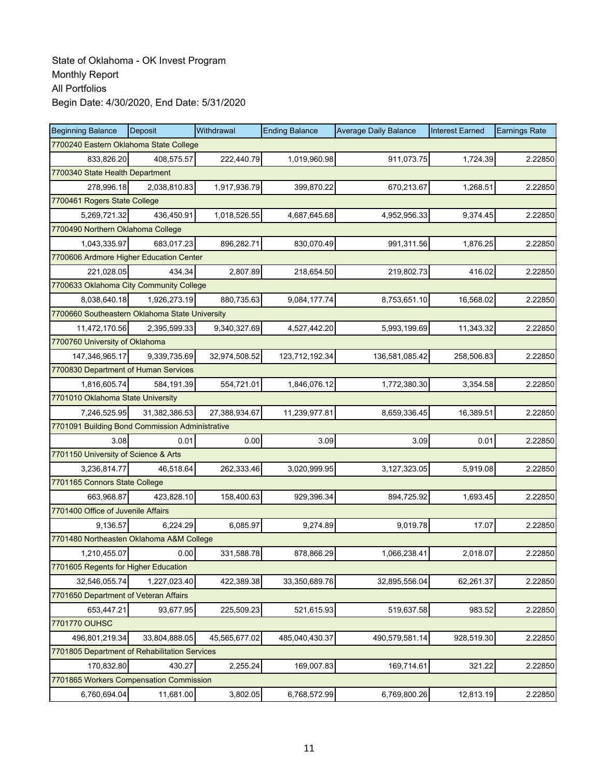| <b>Beginning Balance</b>                        | Deposit       | Withdrawal    | <b>Ending Balance</b> | <b>Average Daily Balance</b> | <b>Interest Earned</b> | <b>Earnings Rate</b> |  |  |
|-------------------------------------------------|---------------|---------------|-----------------------|------------------------------|------------------------|----------------------|--|--|
| 7700240 Eastern Oklahoma State College          |               |               |                       |                              |                        |                      |  |  |
| 833,826.20                                      | 408,575.57    | 222,440.79    | 1,019,960.98          | 911,073.75                   | 1,724.39               | 2.22850              |  |  |
| 7700340 State Health Department                 |               |               |                       |                              |                        |                      |  |  |
| 278,996.18                                      | 2,038,810.83  | 1,917,936.79  | 399,870.22            | 670,213.67                   | 1,268.51               | 2.22850              |  |  |
| 7700461 Rogers State College                    |               |               |                       |                              |                        |                      |  |  |
| 5,269,721.32                                    | 436,450.91    | 1,018,526.55  | 4,687,645.68          | 4,952,956.33                 | 9,374.45               | 2.22850              |  |  |
| 7700490 Northern Oklahoma College               |               |               |                       |                              |                        |                      |  |  |
| 1,043,335.97                                    | 683,017.23    | 896,282.71    | 830,070.49            | 991,311.56                   | 1,876.25               | 2.22850              |  |  |
| 7700606 Ardmore Higher Education Center         |               |               |                       |                              |                        |                      |  |  |
| 221,028.05                                      | 434.34        | 2,807.89      | 218,654.50            | 219,802.73                   | 416.02                 | 2.22850              |  |  |
| 7700633 Oklahoma City Community College         |               |               |                       |                              |                        |                      |  |  |
| 8,038,640.18                                    | 1,926,273.19  | 880,735.63    | 9,084,177.74          | 8,753,651.10                 | 16,568.02              | 2.22850              |  |  |
| 7700660 Southeastern Oklahoma State University  |               |               |                       |                              |                        |                      |  |  |
| 11,472,170.56                                   | 2,395,599.33  | 9,340,327.69  | 4,527,442.20          | 5,993,199.69                 | 11,343.32              | 2.22850              |  |  |
| 7700760 University of Oklahoma                  |               |               |                       |                              |                        |                      |  |  |
| 147,346,965.17                                  | 9,339,735.69  | 32,974,508.52 | 123,712,192.34        | 136,581,085.42               | 258,506.83             | 2.22850              |  |  |
| 7700830 Department of Human Services            |               |               |                       |                              |                        |                      |  |  |
| 1,816,605.74                                    | 584.191.39    | 554,721.01    | 1,846,076.12          | 1,772,380.30                 | 3,354.58               | 2.22850              |  |  |
| 7701010 Oklahoma State University               |               |               |                       |                              |                        |                      |  |  |
| 7,246,525.95                                    | 31,382,386.53 | 27,388,934.67 | 11,239,977.81         | 8,659,336.45                 | 16,389.51              | 2.22850              |  |  |
| 7701091 Building Bond Commission Administrative |               |               |                       |                              |                        |                      |  |  |
| 3.08                                            | 0.01          | 0.00          | 3.09                  | 3.09                         | 0.01                   | 2.22850              |  |  |
| 7701150 University of Science & Arts            |               |               |                       |                              |                        |                      |  |  |
| 3,236,814.77                                    | 46,518.64     | 262,333.46    | 3,020,999.95          | 3,127,323.05                 | 5,919.08               | 2.22850              |  |  |
| 7701165 Connors State College                   |               |               |                       |                              |                        |                      |  |  |
| 663,968.87                                      | 423,828.10    | 158,400.63    | 929,396.34            | 894,725.92                   | 1,693.45               | 2.22850              |  |  |
| 7701400 Office of Juvenile Affairs              |               |               |                       |                              |                        |                      |  |  |
| 9,136.57                                        | 6,224.29      | 6,085.97      | 9,274.89              | 9,019.78                     | 17.07                  | 2.22850              |  |  |
| 7701480 Northeasten Oklahoma A&M College        |               |               |                       |                              |                        |                      |  |  |
| 1,210,455.07                                    | 0.00          | 331,588.78    | 878,866.29            | 1,066,238.41                 | 2,018.07               | 2.22850              |  |  |
| 7701605 Regents for Higher Education            |               |               |                       |                              |                        |                      |  |  |
| 32,546,055.74                                   | 1,227,023.40  | 422,389.38    | 33,350,689.76         | 32,895,556.04                | 62,261.37              | 2.22850              |  |  |
| 7701650 Department of Veteran Affairs           |               |               |                       |                              |                        |                      |  |  |
| 653,447.21                                      | 93,677.95     | 225,509.23    | 521,615.93            | 519,637.58                   | 983.52                 | 2.22850              |  |  |
| 7701770 OUHSC                                   |               |               |                       |                              |                        |                      |  |  |
| 496,801,219.34                                  | 33,804,888.05 | 45,565,677.02 | 485,040,430.37        | 490,579,581.14               | 928,519.30             | 2.22850              |  |  |
| 7701805 Department of Rehabilitation Services   |               |               |                       |                              |                        |                      |  |  |
| 170,832.80                                      | 430.27        | 2,255.24      | 169,007.83            | 169,714.61                   | 321.22                 | 2.22850              |  |  |
| 7701865 Workers Compensation Commission         |               |               |                       |                              |                        |                      |  |  |
| 6,760,694.04                                    | 11,681.00     | 3,802.05      | 6,768,572.99          | 6,769,800.26                 | 12,813.19              | 2.22850              |  |  |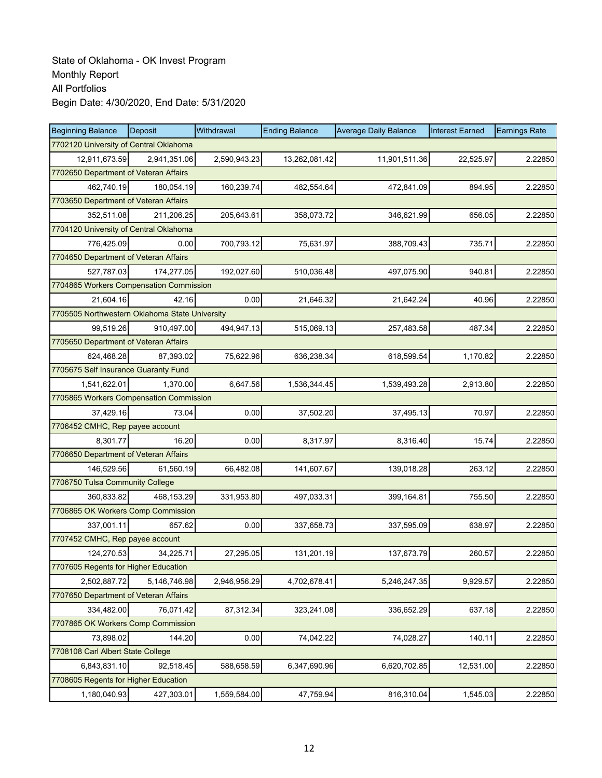| <b>Beginning Balance</b>                       | Deposit                               | Withdrawal   | <b>Ending Balance</b> | <b>Average Daily Balance</b> | <b>Interest Earned</b> | <b>Earnings Rate</b> |  |  |  |  |
|------------------------------------------------|---------------------------------------|--------------|-----------------------|------------------------------|------------------------|----------------------|--|--|--|--|
| 7702120 University of Central Oklahoma         |                                       |              |                       |                              |                        |                      |  |  |  |  |
| 12,911,673.59                                  | 2,941,351.06                          | 2,590,943.23 | 13,262,081.42         | 11,901,511.36                | 22,525.97              | 2.22850              |  |  |  |  |
| 7702650 Department of Veteran Affairs          |                                       |              |                       |                              |                        |                      |  |  |  |  |
| 462,740.19                                     | 180,054.19                            | 160,239.74   | 482,554.64            | 472,841.09                   | 894.95                 | 2.22850              |  |  |  |  |
|                                                | 7703650 Department of Veteran Affairs |              |                       |                              |                        |                      |  |  |  |  |
| 352,511.08                                     | 211,206.25                            | 205,643.61   | 358,073.72            | 346,621.99                   | 656.05                 | 2.22850              |  |  |  |  |
| 7704120 University of Central Oklahoma         |                                       |              |                       |                              |                        |                      |  |  |  |  |
| 776,425.09                                     | 0.00                                  | 700,793.12   | 75,631.97             | 388,709.43                   | 735.71                 | 2.22850              |  |  |  |  |
| 7704650 Department of Veteran Affairs          |                                       |              |                       |                              |                        |                      |  |  |  |  |
| 527,787.03                                     | 174,277.05                            | 192,027.60   | 510,036.48            | 497,075.90                   | 940.81                 | 2.22850              |  |  |  |  |
| 7704865 Workers Compensation Commission        |                                       |              |                       |                              |                        |                      |  |  |  |  |
| 21,604.16                                      | 42.16                                 | 0.00         | 21,646.32             | 21,642.24                    | 40.96                  | 2.22850              |  |  |  |  |
| 7705505 Northwestern Oklahoma State University |                                       |              |                       |                              |                        |                      |  |  |  |  |
| 99,519.26                                      | 910.497.00                            | 494,947.13   | 515,069.13            | 257,483.58                   | 487.34                 | 2.22850              |  |  |  |  |
| 7705650 Department of Veteran Affairs          |                                       |              |                       |                              |                        |                      |  |  |  |  |
| 624,468.28                                     | 87,393.02                             | 75,622.96    | 636,238.34            | 618,599.54                   | 1,170.82               | 2.22850              |  |  |  |  |
| 7705675 Self Insurance Guaranty Fund           |                                       |              |                       |                              |                        |                      |  |  |  |  |
| 1,541,622.01                                   | 1.370.00                              | 6,647.56     | 1,536,344.45          | 1,539,493.28                 | 2,913.80               | 2.22850              |  |  |  |  |
| 7705865 Workers Compensation Commission        |                                       |              |                       |                              |                        |                      |  |  |  |  |
| 37,429.16                                      | 73.04                                 | 0.00         | 37,502.20             | 37,495.13                    | 70.97                  | 2.22850              |  |  |  |  |
| 7706452 CMHC, Rep payee account                |                                       |              |                       |                              |                        |                      |  |  |  |  |
| 8,301.77                                       | 16.20                                 | 0.00         | 8,317.97              | 8,316.40                     | 15.74                  | 2.22850              |  |  |  |  |
| 7706650 Department of Veteran Affairs          |                                       |              |                       |                              |                        |                      |  |  |  |  |
| 146,529.56                                     | 61,560.19                             | 66,482.08    | 141,607.67            | 139,018.28                   | 263.12                 | 2.22850              |  |  |  |  |
| 7706750 Tulsa Community College                |                                       |              |                       |                              |                        |                      |  |  |  |  |
| 360,833.82                                     | 468,153.29                            | 331,953.80   | 497,033.31            | 399,164.81                   | 755.50                 | 2.22850              |  |  |  |  |
| 7706865 OK Workers Comp Commission             |                                       |              |                       |                              |                        |                      |  |  |  |  |
| 337,001.11                                     | 657.62                                | 0.00         | 337,658.73            | 337,595.09                   | 638.97                 | 2.22850              |  |  |  |  |
| 7707452 CMHC, Rep payee account                |                                       |              |                       |                              |                        |                      |  |  |  |  |
| 124,270.53                                     | 34,225.71                             | 27,295.05    | 131,201.19            | 137,673.79                   | 260.57                 | 2.22850              |  |  |  |  |
| 7707605 Regents for Higher Education           |                                       |              |                       |                              |                        |                      |  |  |  |  |
| 2,502,887.72                                   | 5,146,746.98                          | 2,946,956.29 | 4,702,678.41          | 5,246,247.35                 | 9,929.57               | 2.22850              |  |  |  |  |
| 7707650 Department of Veteran Affairs          |                                       |              |                       |                              |                        |                      |  |  |  |  |
| 334,482.00                                     | 76,071.42                             | 87,312.34    | 323,241.08            | 336,652.29                   | 637.18                 | 2.22850              |  |  |  |  |
| 7707865 OK Workers Comp Commission             |                                       |              |                       |                              |                        |                      |  |  |  |  |
| 73,898.02                                      | 144.20                                | 0.00         | 74,042.22             | 74,028.27                    | 140.11                 | 2.22850              |  |  |  |  |
| 7708108 Carl Albert State College              |                                       |              |                       |                              |                        |                      |  |  |  |  |
| 6,843,831.10                                   | 92,518.45                             | 588,658.59   | 6,347,690.96          | 6,620,702.85                 | 12,531.00              | 2.22850              |  |  |  |  |
| 7708605 Regents for Higher Education           |                                       |              |                       |                              |                        |                      |  |  |  |  |
| 1,180,040.93                                   | 427,303.01                            | 1,559,584.00 | 47,759.94             | 816,310.04                   | 1,545.03               | 2.22850              |  |  |  |  |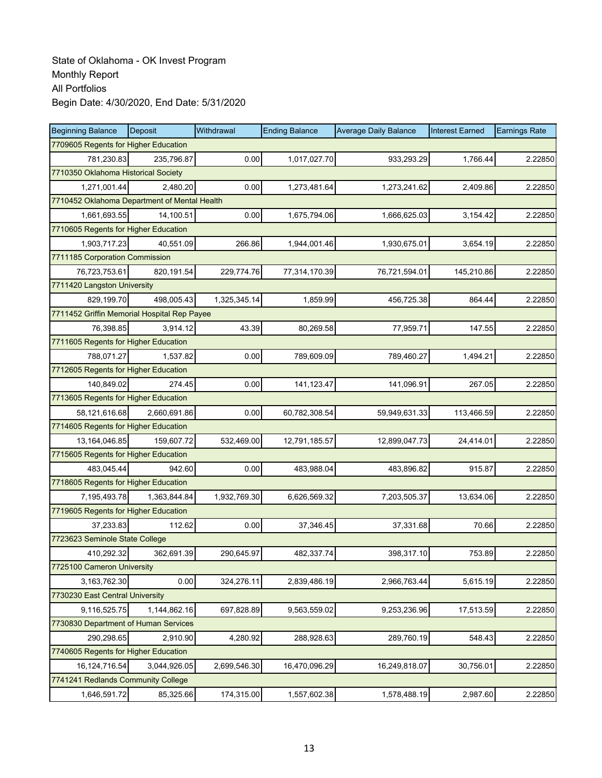| <b>Beginning Balance</b>                     | <b>Deposit</b> | Withdrawal   | <b>Ending Balance</b> | <b>Average Daily Balance</b> | <b>Interest Earned</b> | <b>Earnings Rate</b> |  |  |
|----------------------------------------------|----------------|--------------|-----------------------|------------------------------|------------------------|----------------------|--|--|
| 7709605 Regents for Higher Education         |                |              |                       |                              |                        |                      |  |  |
| 781,230.83                                   | 235,796.87     | 0.00         | 1,017,027.70          | 933,293.29                   | 1,766.44               | 2.22850              |  |  |
| 7710350 Oklahoma Historical Society          |                |              |                       |                              |                        |                      |  |  |
| 1,271,001.44                                 | 2,480.20       | 0.00         | 1,273,481.64          | 1,273,241.62                 | 2,409.86               | 2.22850              |  |  |
| 7710452 Oklahoma Department of Mental Health |                |              |                       |                              |                        |                      |  |  |
| 1,661,693.55                                 | 14,100.51      | 0.00         | 1,675,794.06          | 1,666,625.03                 | 3,154.42               | 2.22850              |  |  |
| 7710605 Regents for Higher Education         |                |              |                       |                              |                        |                      |  |  |
| 1,903,717.23                                 | 40,551.09      | 266.86       | 1,944,001.46          | 1,930,675.01                 | 3,654.19               | 2.22850              |  |  |
| 7711185 Corporation Commission               |                |              |                       |                              |                        |                      |  |  |
| 76,723,753.61                                | 820,191.54     | 229,774.76   | 77,314,170.39         | 76,721,594.01                | 145,210.86             | 2.22850              |  |  |
| 7711420 Langston University                  |                |              |                       |                              |                        |                      |  |  |
| 829,199.70                                   | 498,005.43     | 1,325,345.14 | 1,859.99              | 456,725.38                   | 864.44                 | 2.22850              |  |  |
| 7711452 Griffin Memorial Hospital Rep Payee  |                |              |                       |                              |                        |                      |  |  |
| 76.398.85                                    | 3,914.12       | 43.39        | 80,269.58             | 77,959.71                    | 147.55                 | 2.22850              |  |  |
| 7711605 Regents for Higher Education         |                |              |                       |                              |                        |                      |  |  |
| 788,071.27                                   | 1,537.82       | 0.00         | 789,609.09            | 789,460.27                   | 1,494.21               | 2.22850              |  |  |
| 7712605 Regents for Higher Education         |                |              |                       |                              |                        |                      |  |  |
| 140,849.02                                   | 274.45         | 0.00         | 141,123.47            | 141,096.91                   | 267.05                 | 2.22850              |  |  |
| 7713605 Regents for Higher Education         |                |              |                       |                              |                        |                      |  |  |
| 58,121,616.68                                | 2,660,691.86   | 0.00         | 60,782,308.54         | 59,949,631.33                | 113,466.59             | 2.22850              |  |  |
| 7714605 Regents for Higher Education         |                |              |                       |                              |                        |                      |  |  |
| 13,164,046.85                                | 159,607.72     | 532,469.00   | 12,791,185.57         | 12,899,047.73                | 24,414.01              | 2.22850              |  |  |
| 7715605 Regents for Higher Education         |                |              |                       |                              |                        |                      |  |  |
| 483,045.44                                   | 942.60         | 0.00         | 483,988.04            | 483,896.82                   | 915.87                 | 2.22850              |  |  |
| 7718605 Regents for Higher Education         |                |              |                       |                              |                        |                      |  |  |
| 7,195,493.78                                 | 1,363,844.84   | 1,932,769.30 | 6,626,569.32          | 7,203,505.37                 | 13,634.06              | 2.22850              |  |  |
| 7719605 Regents for Higher Education         |                |              |                       |                              |                        |                      |  |  |
| 37,233.83                                    | 112.62         | 0.00         | 37,346.45             | 37,331.68                    | 70.66                  | 2.22850              |  |  |
| 7723623 Seminole State College               |                |              |                       |                              |                        |                      |  |  |
| 410,292.32                                   | 362,691.39     | 290,645.97   | 482,337.74            | 398,317.10                   | 753.89                 | 2.22850              |  |  |
| 7725100 Cameron University                   |                |              |                       |                              |                        |                      |  |  |
| 3,163,762.30                                 | 0.00           | 324,276.11   | 2,839,486.19          | 2,966,763.44                 | 5,615.19               | 2.22850              |  |  |
| 7730230 East Central University              |                |              |                       |                              |                        |                      |  |  |
| 9,116,525.75                                 | 1,144,862.16   | 697,828.89   | 9,563,559.02          | 9,253,236.96                 | 17,513.59              | 2.22850              |  |  |
| 7730830 Department of Human Services         |                |              |                       |                              |                        |                      |  |  |
| 290,298.65                                   | 2,910.90       | 4,280.92     | 288,928.63            | 289,760.19                   | 548.43                 | 2.22850              |  |  |
| 7740605 Regents for Higher Education         |                |              |                       |                              |                        |                      |  |  |
| 16,124,716.54                                | 3,044,926.05   | 2,699,546.30 | 16,470,096.29         | 16,249,818.07                | 30,756.01              | 2.22850              |  |  |
| 7741241 Redlands Community College           |                |              |                       |                              |                        |                      |  |  |
| 1,646,591.72                                 | 85,325.66      | 174,315.00   | 1,557,602.38          | 1,578,488.19                 | 2,987.60               | 2.22850              |  |  |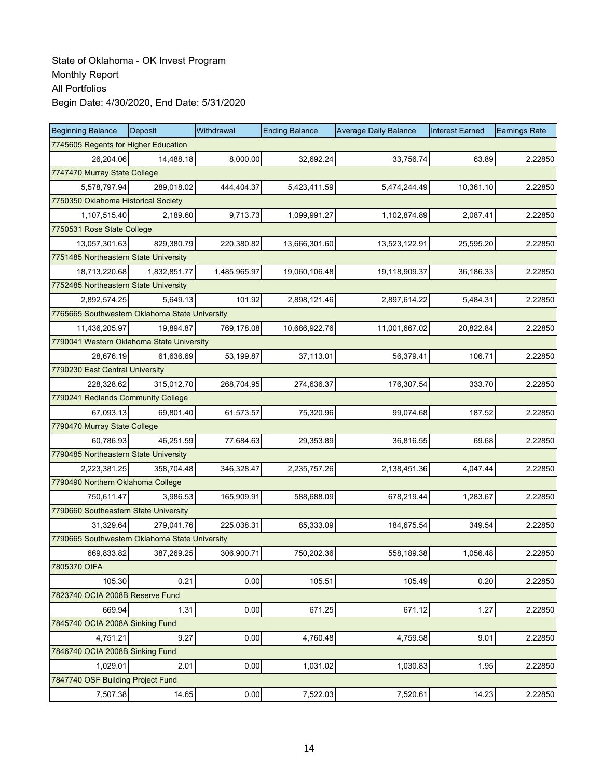| <b>Beginning Balance</b>                       | <b>Deposit</b> | Withdrawal   | <b>Ending Balance</b> | <b>Average Daily Balance</b> | <b>Interest Earned</b> | <b>Earnings Rate</b> |  |  |
|------------------------------------------------|----------------|--------------|-----------------------|------------------------------|------------------------|----------------------|--|--|
| 7745605 Regents for Higher Education           |                |              |                       |                              |                        |                      |  |  |
| 26,204.06                                      | 14,488.18      | 8,000.00     | 32,692.24             | 33,756.74                    | 63.89                  | 2.22850              |  |  |
| 7747470 Murray State College                   |                |              |                       |                              |                        |                      |  |  |
| 5,578,797.94                                   | 289,018.02     | 444,404.37   | 5,423,411.59          | 5,474,244.49                 | 10,361.10              | 2.22850              |  |  |
| 7750350 Oklahoma Historical Society            |                |              |                       |                              |                        |                      |  |  |
| 1,107,515.40                                   | 2,189.60       | 9,713.73     | 1,099,991.27          | 1,102,874.89                 | 2,087.41               | 2.22850              |  |  |
| 7750531 Rose State College                     |                |              |                       |                              |                        |                      |  |  |
| 13,057,301.63                                  | 829,380.79     | 220,380.82   | 13,666,301.60         | 13,523,122.91                | 25,595.20              | 2.22850              |  |  |
| 7751485 Northeastern State University          |                |              |                       |                              |                        |                      |  |  |
| 18,713,220.68                                  | 1,832,851.77   | 1,485,965.97 | 19,060,106.48         | 19,118,909.37                | 36,186.33              | 2.22850              |  |  |
| 7752485 Northeastern State University          |                |              |                       |                              |                        |                      |  |  |
| 2,892,574.25                                   | 5,649.13       | 101.92       | 2,898,121.46          | 2,897,614.22                 | 5,484.31               | 2.22850              |  |  |
| 7765665 Southwestern Oklahoma State University |                |              |                       |                              |                        |                      |  |  |
| 11,436,205.97                                  | 19,894.87      | 769,178.08   | 10,686,922.76         | 11,001,667.02                | 20.822.84              | 2.22850              |  |  |
| 7790041 Western Oklahoma State University      |                |              |                       |                              |                        |                      |  |  |
| 28,676.19                                      | 61,636.69      | 53,199.87    | 37,113.01             | 56,379.41                    | 106.71                 | 2.22850              |  |  |
| 7790230 East Central University                |                |              |                       |                              |                        |                      |  |  |
| 228,328.62                                     | 315.012.70     | 268,704.95   | 274,636.37            | 176,307.54                   | 333.70                 | 2.22850              |  |  |
| 7790241 Redlands Community College             |                |              |                       |                              |                        |                      |  |  |
| 67,093.13                                      | 69,801.40      | 61,573.57    | 75,320.96             | 99,074.68                    | 187.52                 | 2.22850              |  |  |
| 7790470 Murray State College                   |                |              |                       |                              |                        |                      |  |  |
| 60,786.93                                      | 46,251.59      | 77,684.63    | 29,353.89             | 36,816.55                    | 69.68                  | 2.22850              |  |  |
| 7790485 Northeastern State University          |                |              |                       |                              |                        |                      |  |  |
| 2,223,381.25                                   | 358,704.48     | 346,328.47   | 2,235,757.26          | 2,138,451.36                 | 4,047.44               | 2.22850              |  |  |
| 7790490 Northern Oklahoma College              |                |              |                       |                              |                        |                      |  |  |
| 750,611.47                                     | 3,986.53       | 165,909.91   | 588,688.09            | 678,219.44                   | 1,283.67               | 2.22850              |  |  |
| 7790660 Southeastern State University          |                |              |                       |                              |                        |                      |  |  |
| 31,329.64                                      | 279,041.76     | 225,038.31   | 85,333.09             | 184,675.54                   | 349.54                 | 2.22850              |  |  |
| 7790665 Southwestern Oklahoma State University |                |              |                       |                              |                        |                      |  |  |
| 669,833.82                                     | 387,269.25     | 306,900.71   | 750,202.36            | 558,189.38                   | 1.056.48               | 2.22850              |  |  |
| 7805370 OIFA                                   |                |              |                       |                              |                        |                      |  |  |
| 105.30                                         | 0.21           | 0.00         | 105.51                | 105.49                       | 0.20                   | 2.22850              |  |  |
| 7823740 OCIA 2008B Reserve Fund                |                |              |                       |                              |                        |                      |  |  |
| 669.94                                         | 1.31           | 0.00         | 671.25                | 671.12                       | 1.27                   | 2.22850              |  |  |
| 7845740 OCIA 2008A Sinking Fund                |                |              |                       |                              |                        |                      |  |  |
| 4,751.21                                       | 9.27           | 0.00         | 4,760.48              | 4,759.58                     | 9.01                   | 2.22850              |  |  |
| 7846740 OCIA 2008B Sinking Fund                |                |              |                       |                              |                        |                      |  |  |
| 1,029.01                                       | 2.01           | 0.00         | 1,031.02              | 1,030.83                     | 1.95                   | 2.22850              |  |  |
| 7847740 OSF Building Project Fund              |                |              |                       |                              |                        |                      |  |  |
| 7,507.38                                       | 14.65          | 0.00         | 7,522.03              | 7,520.61                     | 14.23                  | 2.22850              |  |  |